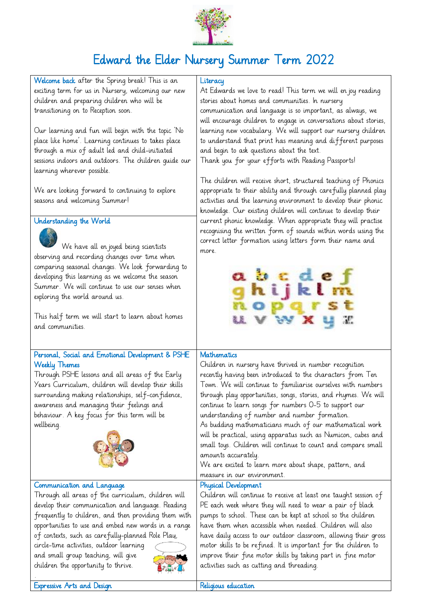

# Edward the Elder Nursery Summer Term 2022

Welcome back after the Spring break! This is an exciting term for us in Nursery, welcoming our new children and preparing children who will be transitioning on to Reception soon.

Our learning and fun will begin with the topic 'No place like home'. Learning continues to takes place through a mix of adult led and child-initiated sessions indoors and outdoors. The children guide our learning wherever possible.

We are looking forward to continuing to explore seasons and welcoming Summer!

## Understanding the World



We have all enjoyed being scientists observing and recording changes over time when comparing seasonal changes. We look forwarding to developing this learning as we welcome the season Summer. We will continue to use our senses when exploring the world around us.

This half term we will start to learn about homes and communities.

## Personal, Social and Emotional Development & PSHE Weekly Themes

Through PSHE lessons and all areas of the Early Years Curriculum, children will develop their skills surrounding making relationships, self-confidence, awareness and managing their feelings and behaviour. A key focus for this term will be wellbeing.



#### Communication and Language

Through all areas of the curriculum, children will develop their communication and language. Reading frequently to children, and then providing them with opportunities to use and embed new words in a range of contexts, such as carefully-planned Role Play,

circle-time activities, outdoor learning and small group teaching, will give children the opportunity to thrive.



## **Literacy**

At Edwards we love to read! This term we will en joy reading stories about homes and communities. In nursery communication and language is so important, as always, we will encourage children to engage in conversations about stories, learning new vocabulary. We will support our nursery children to understand that print has meaning and different purposes and begin to ask questions about the text.

Thank you for your efforts with Reading Passports!

The children will receive short, structured teaching of Phonics appropriate to their ability and through carefully planned play activities and the learning environment to develop their phonic knowledge. Our existing children will continue to develop their current phonic knowledge. When appropriate they will practise recognising the written form of sounds within words using the correct letter formation using letters form their name and more.

|  | abcdef<br>ghijklm |  |  |
|--|-------------------|--|--|
|  | noparst<br>uvwxyz |  |  |

# **Mathematics**

Children in nursery have thrived in number recognition recently having been introduced to the characters from Ten Town. We will continue to familiarise ourselves with numbers through play opportunities, songs, stories, and rhymes. We will continue to learn songs for numbers 0-5 to support our understanding of number and number formation. As budding mathematicians much of our mathematical work will be practical, using apparatus such as Numicon, cubes and small toys. Children will continue to count and compare small amounts accurately. We are excited to learn more about shape, pattern, and measure in our environment. Physical Development

Children will continue to receive at least one taught session of PE each week where they will need to wear a pair of black pumps to school. These can be kept at school so the children have them when accessible when needed. Children will also have daily access to our outdoor classroom, allowing their gross motor skills to be refined. It is important for the children to improve their fine motor skills by taking part in fine motor activities such as cutting and threading.

Expressive Arts and Design **Religious** education

.